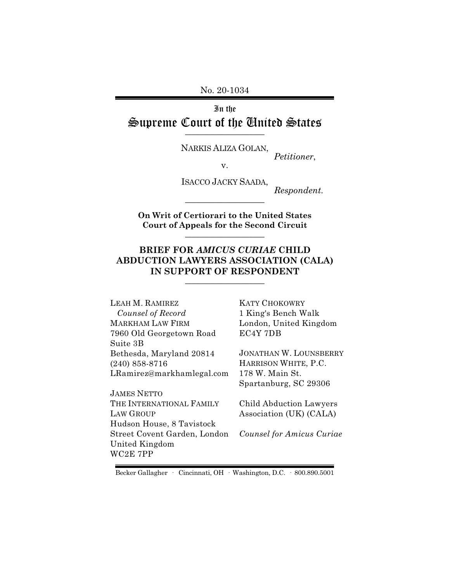No. 20-1034

In the Supreme Court of the United States  $\overline{\phantom{a}}$  , where  $\overline{\phantom{a}}$ 

NARKIS ALIZA GOLAN,

*Petitioner*,

v.

ISACCO JACKY SAADA,

*Respondent.*

**On Writ of Certiorari to the United States Court of Appeals for the Second Circuit** \_\_\_\_\_\_\_\_\_\_\_\_\_\_\_\_\_\_

\_\_\_\_\_\_\_\_\_\_\_\_\_\_\_\_\_\_

### **BRIEF FOR** *AMICUS CURIAE* **CHILD ABDUCTION LAWYERS ASSOCIATION (CALA) IN SUPPORT OF RESPONDENT** \_\_\_\_\_\_\_\_\_\_\_\_\_\_\_\_\_\_

LEAH M. RAMIREZ *Counsel of Record* MARKHAM LAW FIRM 7960 Old Georgetown Road Suite 3B Bethesda, Maryland 20814 (240) 858-8716 LRamirez@markhamlegal.com

JAMES NETTO THE INTERNATIONAL FAMILY LAW GROUP Hudson House, 8 Tavistock Street Covent Garden, London United Kingdom WC2E 7PP

KATY CHOKOWRY 1 King's Bench Walk London, United Kingdom EC4Y 7DB

JONATHAN W. LOUNSBERRY HARRISON WHITE, P.C. 178 W. Main St. Spartanburg, SC 29306

Child Abduction Lawyers Association (UK) (CALA)

*Counsel for Amicus Curiae* 

Becker Gallagher · Cincinnati, OH · Washington, D.C. · 800.890.5001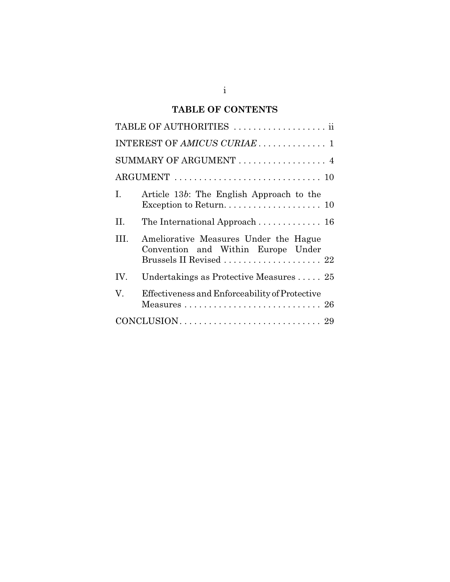## **TABLE OF CONTENTS**

|                        | TABLE OF AUTHORITIES  ii                                                                               |  |
|------------------------|--------------------------------------------------------------------------------------------------------|--|
|                        |                                                                                                        |  |
| SUMMARY OF ARGUMENT  4 |                                                                                                        |  |
|                        |                                                                                                        |  |
| I.                     | Article 13b: The English Approach to the                                                               |  |
| Π.                     | The International Approach  16                                                                         |  |
| HL.                    | Ameliorative Measures Under the Hague<br>Convention and Within Europe Under<br>Brussels II Revised  22 |  |
| IV.                    | Undertakings as Protective Measures $\ldots$ 25                                                        |  |
| V.                     | Effectiveness and Enforceability of Protective<br>Measures  26                                         |  |
|                        |                                                                                                        |  |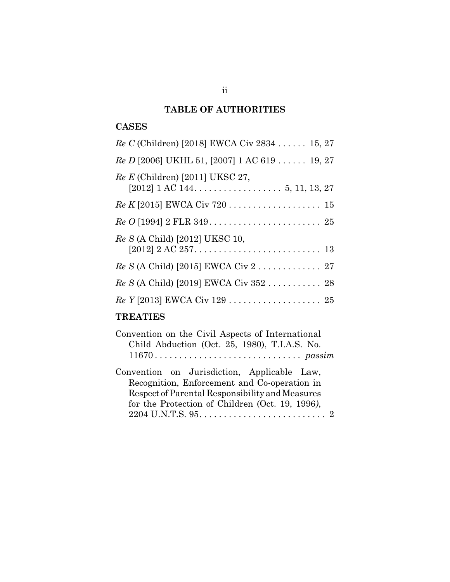## **TABLE OF AUTHORITIES**

## **CASES**

| Re C (Children) [2018] EWCA Civ 2834  15, 27   |
|------------------------------------------------|
| $Re D$ [2006] UKHL 51, [2007] 1 AC 619  19, 27 |
| $Re E$ (Children) [2011] UKSC 27,              |
|                                                |
|                                                |
| Re S (A Child) [2012] UKSC 10,                 |
| $Re S$ (A Child) [2015] EWCA Civ 2  27         |
| Re S (A Child) [2019] EWCA Civ 352  28         |
|                                                |

# **TREATIES**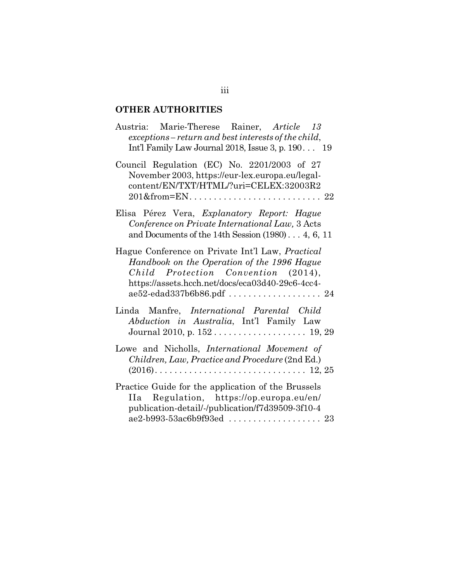## **OTHER AUTHORITIES**

| Austria: Marie-Therese Rainer, Article 13<br>exceptions – return and best interests of the child,<br>Int'l Family Law Journal 2018, Issue 3, p. $190$ 19                                                                       |
|--------------------------------------------------------------------------------------------------------------------------------------------------------------------------------------------------------------------------------|
| Council Regulation (EC) No. 2201/2003 of 27<br>November 2003, https://eur-lex.europa.eu/legal-<br>content/EN/TXT/HTML/?uri=CELEX:32003R2                                                                                       |
| Elisa Pérez Vera, Explanatory Report: Hague<br>Conference on Private International Law, 3 Acts<br>and Documents of the 14th Session $(1980) \ldots 4, 6, 11$                                                                   |
| Hague Conference on Private Int'l Law, <i>Practical</i><br>Handbook on the Operation of the 1996 Hague<br>Child Protection Convention (2014),<br>https://assets.hcch.net/docs/eca03d40-29c6-4cc4-<br>ae52-edad337b6b86.pdf  24 |
| Linda Manfre, <i>International Parental Child</i><br>Abduction in Australia, Int'l Family Law                                                                                                                                  |
| Lowe and Nicholls, International Movement of<br>Children, Law, Practice and Procedure (2nd Ed.)                                                                                                                                |
| Practice Guide for the application of the Brussels<br>IIa Regulation, https://op.europa.eu/en/<br>publication-detail/-/publication/f7d39509-3f10-4                                                                             |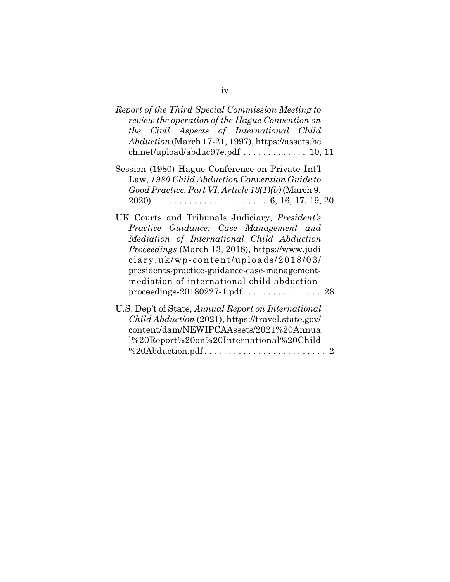| Report of the Third Special Commission Meeting to<br>review the operation of the Hague Convention on<br>the Civil Aspects of International Child<br>Abduction (March 17-21, 1997), https://assets.hc                                                                                                                                    |
|-----------------------------------------------------------------------------------------------------------------------------------------------------------------------------------------------------------------------------------------------------------------------------------------------------------------------------------------|
| Session (1980) Hague Conference on Private Int'l<br>Law, 1980 Child Abduction Convention Guide to<br>Good Practice, Part VI, Article 13(1)(b) (March 9,                                                                                                                                                                                 |
| UK Courts and Tribunals Judiciary, President's<br>Practice Guidance: Case Management and<br>Mediation of International Child Abduction<br><i>Proceedings</i> (March 13, 2018), https://www.judi<br>ciary.uk/wp-content/uploads/2018/03/<br>presidents-practice-guidance-case-management-<br>mediation-of-international-child-abduction- |
| U.S. Dep't of State, Annual Report on International<br><i>Child Abduction (2021), https://travel.state.gov/</i><br>content/dam/NEWIPCAAssets/2021%20Annua<br>1%20Report%20on%20International%20Child                                                                                                                                    |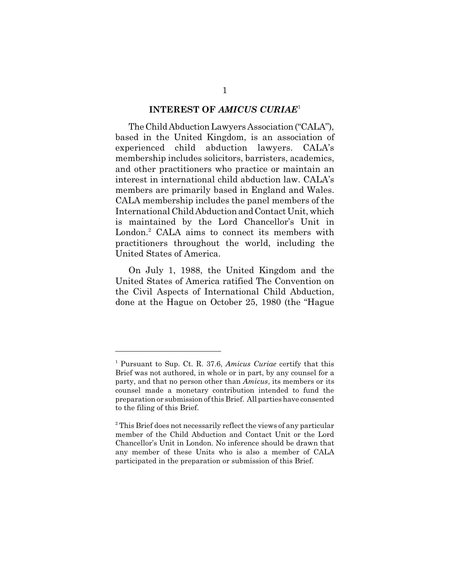#### **INTEREST OF** *AMICUS CURIAE*<sup>1</sup>

The Child Abduction Lawyers Association ("CALA"), based in the United Kingdom, is an association of experienced child abduction lawyers. CALA's membership includes solicitors, barristers, academics, and other practitioners who practice or maintain an interest in international child abduction law. CALA's members are primarily based in England and Wales. CALA membership includes the panel members of the International Child Abduction and Contact Unit, which is maintained by the Lord Chancellor's Unit in London.<sup>2</sup> CALA aims to connect its members with practitioners throughout the world, including the United States of America.

On July 1, 1988, the United Kingdom and the United States of America ratified The Convention on the Civil Aspects of International Child Abduction, done at the Hague on October 25, 1980 (the "Hague

<sup>1</sup> Pursuant to Sup. Ct. R. 37.6, *Amicus Curiae* certify that this Brief was not authored, in whole or in part, by any counsel for a party, and that no person other than *Amicus*, its members or its counsel made a monetary contribution intended to fund the preparation or submission of this Brief. All parties have consented to the filing of this Brief.

<sup>&</sup>lt;sup>2</sup> This Brief does not necessarily reflect the views of any particular member of the Child Abduction and Contact Unit or the Lord Chancellor's Unit in London. No inference should be drawn that any member of these Units who is also a member of CALA participated in the preparation or submission of this Brief.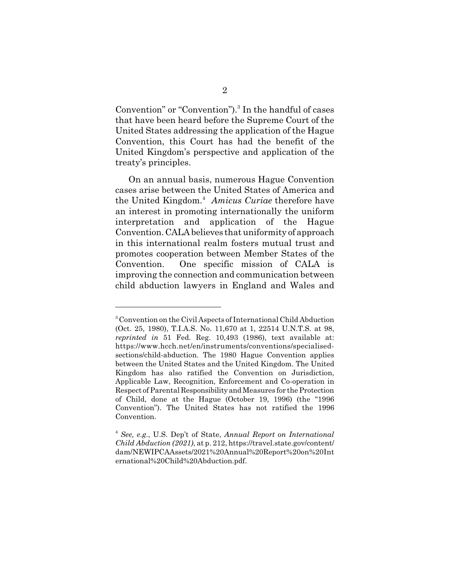Convention" or "Convention").<sup>3</sup> In the handful of cases that have been heard before the Supreme Court of the United States addressing the application of the Hague Convention, this Court has had the benefit of the United Kingdom's perspective and application of the treaty's principles.

On an annual basis, numerous Hague Convention cases arise between the United States of America and the United Kingdom.<sup>4</sup> Amicus Curiae therefore have an interest in promoting internationally the uniform interpretation and application of the Hague Convention. CALA believes that uniformity of approach in this international realm fosters mutual trust and promotes cooperation between Member States of the Convention. One specific mission of CALA is improving the connection and communication between child abduction lawyers in England and Wales and

<sup>&</sup>lt;sup>3</sup> Convention on the Civil Aspects of International Child Abduction (Oct. 25, 1980), T.I.A.S. No. 11,670 at 1, 22514 U.N.T.S. at 98, *reprinted in* 51 Fed. Reg. 10,493 (1986), text available at: https://www.hcch.net/en/instruments/conventions/specialisedsections/child-abduction. The 1980 Hague Convention applies between the United States and the United Kingdom. The United Kingdom has also ratified the Convention on Jurisdiction, Applicable Law, Recognition, Enforcement and Co-operation in Respect of Parental Responsibility and Measures for the Protection of Child, done at the Hague (October 19, 1996) (the "1996 Convention"). The United States has not ratified the 1996 Convention.

<sup>4</sup>  *See, e.g.*, U.S. Dep't of State, *Annual Report on International Child Abduction (2021)*, at p. 212, https://travel.state.gov/content/ dam/NEWIPCAAssets/2021%20Annual%20Report%20on%20Int ernational%20Child%20Abduction.pdf.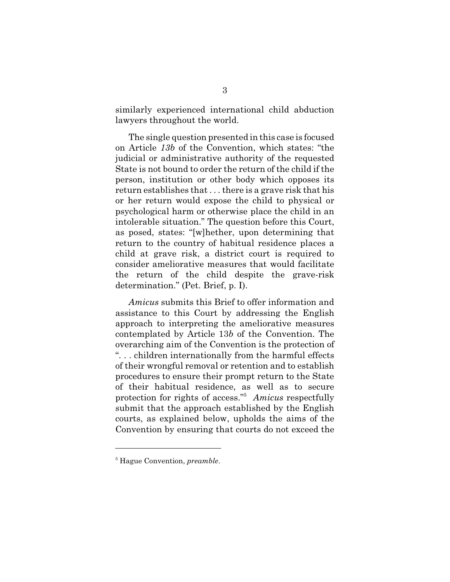similarly experienced international child abduction lawyers throughout the world.

The single question presented in this case is focused on Article *13b* of the Convention, which states: "the judicial or administrative authority of the requested State is not bound to order the return of the child if the person, institution or other body which opposes its return establishes that . . . there is a grave risk that his or her return would expose the child to physical or psychological harm or otherwise place the child in an intolerable situation." The question before this Court, as posed, states: "[w]hether, upon determining that return to the country of habitual residence places a child at grave risk, a district court is required to consider ameliorative measures that would facilitate the return of the child despite the grave-risk determination." (Pet. Brief, p. I).

*Amicus* submits this Brief to offer information and assistance to this Court by addressing the English approach to interpreting the ameliorative measures contemplated by Article 13*b* of the Convention. The overarching aim of the Convention is the protection of ". . . children internationally from the harmful effects of their wrongful removal or retention and to establish procedures to ensure their prompt return to the State of their habitual residence, as well as to secure protection for rights of access."<sup>5</sup> *Amicus* respectfully submit that the approach established by the English courts, as explained below, upholds the aims of the Convention by ensuring that courts do not exceed the

<sup>5</sup> Hague Convention, *preamble*.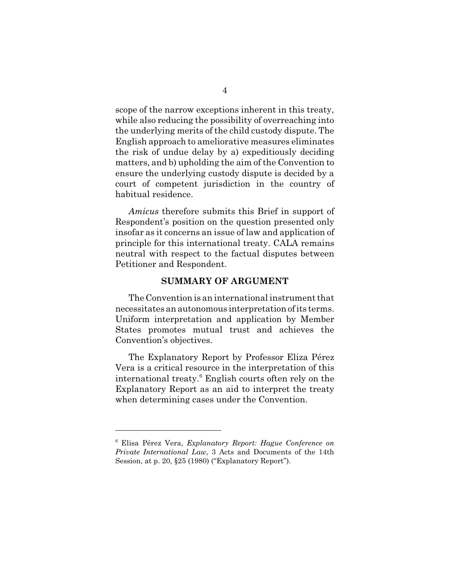scope of the narrow exceptions inherent in this treaty, while also reducing the possibility of overreaching into the underlying merits of the child custody dispute. The English approach to ameliorative measures eliminates the risk of undue delay by a) expeditiously deciding matters, and b) upholding the aim of the Convention to ensure the underlying custody dispute is decided by a court of competent jurisdiction in the country of habitual residence.

*Amicus* therefore submits this Brief in support of Respondent's position on the question presented only insofar as it concerns an issue of law and application of principle for this international treaty. CALA remains neutral with respect to the factual disputes between Petitioner and Respondent.

#### **SUMMARY OF ARGUMENT**

The Convention is an international instrument that necessitates an autonomous interpretation of its terms. Uniform interpretation and application by Member States promotes mutual trust and achieves the Convention's objectives.

The Explanatory Report by Professor Eliza Pérez Vera is a critical resource in the interpretation of this international treaty.<sup>6</sup> English courts often rely on the Explanatory Report as an aid to interpret the treaty when determining cases under the Convention.

<sup>6</sup> Elisa Pérez Vera, *Explanatory Report: Hague Conference on Private International Law,* 3 Acts and Documents of the 14th Session, at p. 20, §25 (1980) ("Explanatory Report").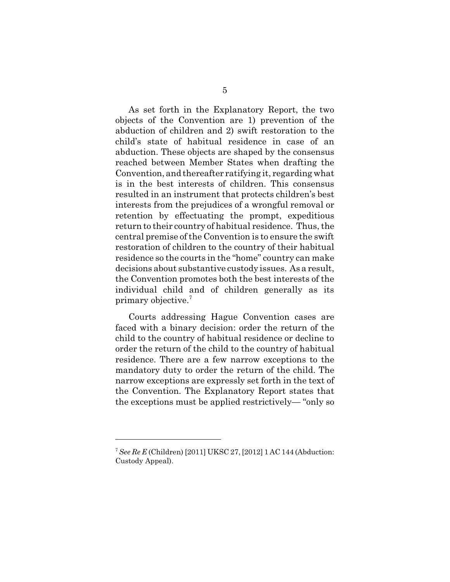As set forth in the Explanatory Report, the two objects of the Convention are 1) prevention of the abduction of children and 2) swift restoration to the child's state of habitual residence in case of an abduction. These objects are shaped by the consensus reached between Member States when drafting the Convention, and thereafter ratifying it, regarding what is in the best interests of children. This consensus resulted in an instrument that protects children's best interests from the prejudices of a wrongful removal or retention by effectuating the prompt, expeditious return to their country of habitual residence. Thus, the central premise of the Convention is to ensure the swift restoration of children to the country of their habitual residence so the courts in the "home" country can make decisions about substantive custody issues. As a result, the Convention promotes both the best interests of the individual child and of children generally as its primary objective.<sup>7</sup>

Courts addressing Hague Convention cases are faced with a binary decision: order the return of the child to the country of habitual residence or decline to order the return of the child to the country of habitual residence. There are a few narrow exceptions to the mandatory duty to order the return of the child. The narrow exceptions are expressly set forth in the text of the Convention. The Explanatory Report states that the exceptions must be applied restrictively— "only so

<sup>7</sup> *See Re E* (Children) [2011] UKSC 27, [2012] 1 AC 144 (Abduction: Custody Appeal).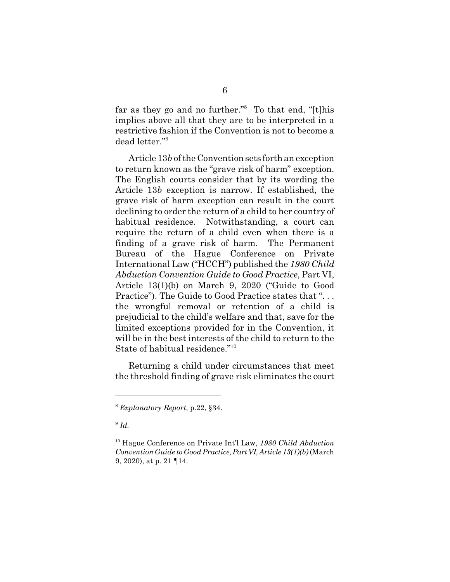far as they go and no further."<sup>8</sup> To that end, "[t]his implies above all that they are to be interpreted in a restrictive fashion if the Convention is not to become a dead letter."<sup>9</sup>

Article 13*b* of the Convention sets forth an exception to return known as the "grave risk of harm" exception. The English courts consider that by its wording the Article 13*b* exception is narrow. If established, the grave risk of harm exception can result in the court declining to order the return of a child to her country of habitual residence. Notwithstanding, a court can require the return of a child even when there is a finding of a grave risk of harm. The Permanent Bureau of the Hague Conference on Private International Law ("HCCH") published the *1980 Child Abduction Convention Guide to Good Practice*, Part VI, Article 13(1)(b) on March 9, 2020 ("Guide to Good Practice"). The Guide to Good Practice states that "... the wrongful removal or retention of a child is prejudicial to the child's welfare and that, save for the limited exceptions provided for in the Convention, it will be in the best interests of the child to return to the State of habitual residence."<sup>10</sup>

Returning a child under circumstances that meet the threshold finding of grave risk eliminates the court

<sup>8</sup> *Explanatory Report*, p.22, §34.

<sup>9</sup> *Id.*

<sup>10</sup> Hague Conference on Private Int'l Law, *1980 Child Abduction Convention Guide to Good Practice, Part VI, Article 13(1)(b)* (March 9, 2020), at p. 21 ¶14.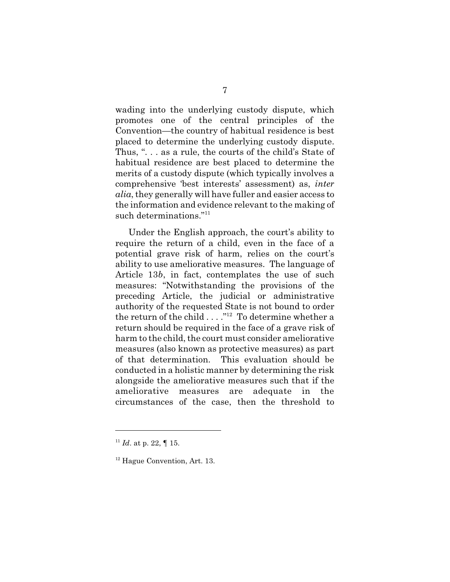wading into the underlying custody dispute, which promotes one of the central principles of the Convention—the country of habitual residence is best placed to determine the underlying custody dispute. Thus, ". . . as a rule, the courts of the child's State of habitual residence are best placed to determine the merits of a custody dispute (which typically involves a comprehensive 'best interests' assessment) as, *inter alia*, they generally will have fuller and easier access to the information and evidence relevant to the making of such determinations."<sup>11</sup>

Under the English approach, the court's ability to require the return of a child, even in the face of a potential grave risk of harm, relies on the court's ability to use ameliorative measures. The language of Article 13*b*, in fact, contemplates the use of such measures: "Notwithstanding the provisions of the preceding Article, the judicial or administrative authority of the requested State is not bound to order the return of the child  $\dots$ ."<sup>12</sup> To determine whether a return should be required in the face of a grave risk of harm to the child, the court must consider ameliorative measures (also known as protective measures) as part of that determination. This evaluation should be conducted in a holistic manner by determining the risk alongside the ameliorative measures such that if the ameliorative measures are adequate in the circumstances of the case, then the threshold to

 $11$  *Id.* at p. 22,  $\P$  15.

<sup>&</sup>lt;sup>12</sup> Hague Convention, Art. 13.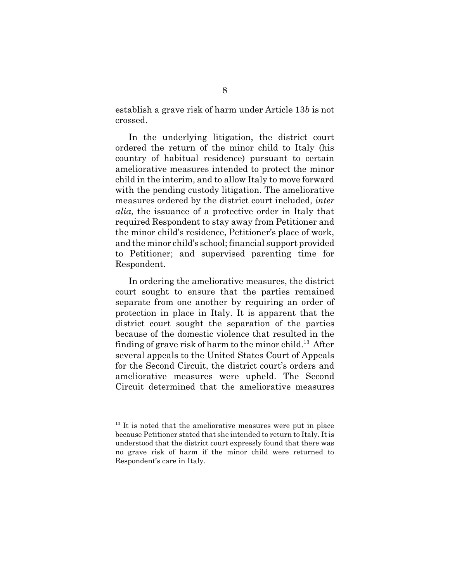establish a grave risk of harm under Article 13*b* is not crossed.

In the underlying litigation, the district court ordered the return of the minor child to Italy (his country of habitual residence) pursuant to certain ameliorative measures intended to protect the minor child in the interim, and to allow Italy to move forward with the pending custody litigation. The ameliorative measures ordered by the district court included, *inter alia*, the issuance of a protective order in Italy that required Respondent to stay away from Petitioner and the minor child's residence, Petitioner's place of work, and the minor child's school; financial support provided to Petitioner; and supervised parenting time for Respondent.

In ordering the ameliorative measures, the district court sought to ensure that the parties remained separate from one another by requiring an order of protection in place in Italy. It is apparent that the district court sought the separation of the parties because of the domestic violence that resulted in the finding of grave risk of harm to the minor child.<sup>13</sup> After several appeals to the United States Court of Appeals for the Second Circuit, the district court's orders and ameliorative measures were upheld. The Second Circuit determined that the ameliorative measures

 $13$  It is noted that the ameliorative measures were put in place because Petitioner stated that she intended to return to Italy. It is understood that the district court expressly found that there was no grave risk of harm if the minor child were returned to Respondent's care in Italy.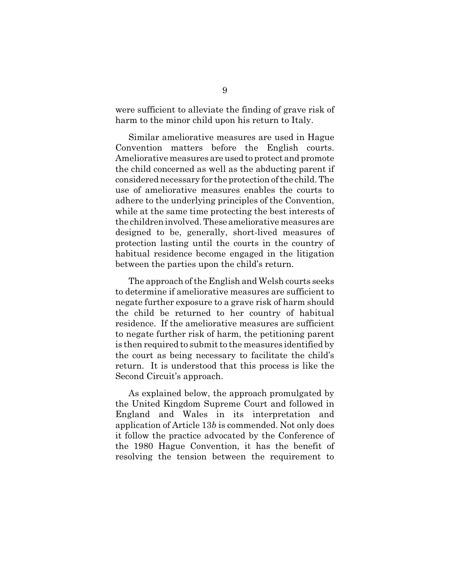were sufficient to alleviate the finding of grave risk of harm to the minor child upon his return to Italy.

Similar ameliorative measures are used in Hague Convention matters before the English courts. Ameliorative measures are used to protect and promote the child concerned as well as the abducting parent if considered necessary for the protection of the child. The use of ameliorative measures enables the courts to adhere to the underlying principles of the Convention, while at the same time protecting the best interests of the children involved. These ameliorative measures are designed to be, generally, short-lived measures of protection lasting until the courts in the country of habitual residence become engaged in the litigation between the parties upon the child's return.

The approach of the English and Welsh courts seeks to determine if ameliorative measures are sufficient to negate further exposure to a grave risk of harm should the child be returned to her country of habitual residence. If the ameliorative measures are sufficient to negate further risk of harm, the petitioning parent is then required to submit to the measures identified by the court as being necessary to facilitate the child's return. It is understood that this process is like the Second Circuit's approach.

As explained below, the approach promulgated by the United Kingdom Supreme Court and followed in England and Wales in its interpretation and application of Article 13*b* is commended. Not only does it follow the practice advocated by the Conference of the 1980 Hague Convention, it has the benefit of resolving the tension between the requirement to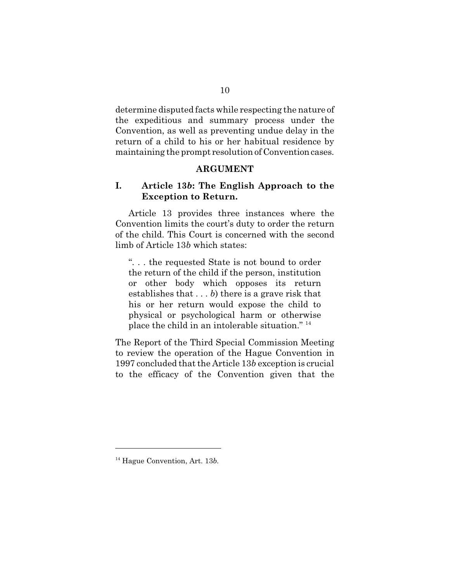determine disputed facts while respecting the nature of the expeditious and summary process under the Convention, as well as preventing undue delay in the return of a child to his or her habitual residence by maintaining the prompt resolution of Convention cases.

### **ARGUMENT**

### **I. Article 13***b***: The English Approach to the Exception to Return.**

Article 13 provides three instances where the Convention limits the court's duty to order the return of the child. This Court is concerned with the second limb of Article 13*b* which states:

". . . the requested State is not bound to order the return of the child if the person, institution or other body which opposes its return establishes that . . . *b*) there is a grave risk that his or her return would expose the child to physical or psychological harm or otherwise place the child in an intolerable situation." <sup>14</sup>

The Report of the Third Special Commission Meeting to review the operation of the Hague Convention in 1997 concluded that the Article 13*b* exception is crucial to the efficacy of the Convention given that the

<sup>14</sup> Hague Convention, Art. 13*b.*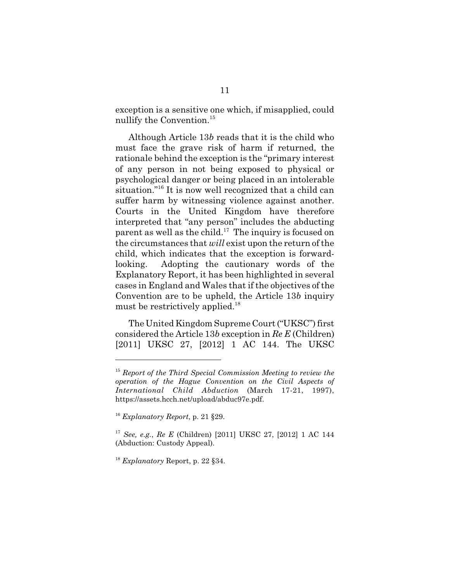exception is a sensitive one which, if misapplied, could nullify the Convention.<sup>15</sup>

Although Article 13*b* reads that it is the child who must face the grave risk of harm if returned, the rationale behind the exception is the "primary interest of any person in not being exposed to physical or psychological danger or being placed in an intolerable situation."<sup>16</sup> It is now well recognized that a child can suffer harm by witnessing violence against another. Courts in the United Kingdom have therefore interpreted that "any person" includes the abducting parent as well as the child.<sup>17</sup> The inquiry is focused on the circumstances that *will* exist upon the return of the child, which indicates that the exception is forwardlooking. Adopting the cautionary words of the Explanatory Report, it has been highlighted in several cases in England and Wales that if the objectives of the Convention are to be upheld, the Article 13*b* inquiry must be restrictively applied.<sup>18</sup>

The United Kingdom Supreme Court ("UKSC") first considered the Article 13*b* exception in *Re E* (Children) [2011] UKSC 27, [2012] 1 AC 144. The UKSC

<sup>18</sup> *Explanatory* Report, p. 22 §34.

<sup>15</sup> *Report of the Third Special Commission Meeting to review the operation of the Hague Convention on the Civil Aspects of International Child Abduction* (March 17-21, 1997), https://assets.hcch.net/upload/abduc97e.pdf.

<sup>16</sup> *Explanatory Report*, p. 21 §29.

<sup>17</sup> *See, e.g.*, *Re E* (Children) [2011] UKSC 27, [2012] 1 AC 144 (Abduction: Custody Appeal).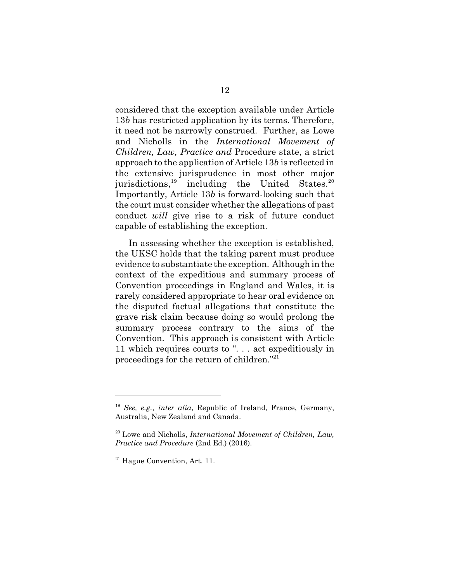considered that the exception available under Article 13*b* has restricted application by its terms. Therefore, it need not be narrowly construed. Further, as Lowe and Nicholls in the *International Movement of Children, Law, Practice and* Procedure state, a strict approach to the application of Article 13*b* is reflected in the extensive jurisprudence in most other major jurisdictions, $19$  including the United States. $20$ Importantly, Article 13*b* is forward-looking such that the court must consider whether the allegations of past conduct *will* give rise to a risk of future conduct capable of establishing the exception.

In assessing whether the exception is established, the UKSC holds that the taking parent must produce evidence to substantiate the exception. Although in the context of the expeditious and summary process of Convention proceedings in England and Wales, it is rarely considered appropriate to hear oral evidence on the disputed factual allegations that constitute the grave risk claim because doing so would prolong the summary process contrary to the aims of the Convention. This approach is consistent with Article 11 which requires courts to ". . . act expeditiously in proceedings for the return of children."<sup>21</sup>

<sup>19</sup> *See, e.g.*, *inter alia*, Republic of Ireland, France, Germany, Australia, New Zealand and Canada.

<sup>20</sup> Lowe and Nicholls, *International Movement of Children, Law, Practice and Procedure* (2nd Ed.) (2016).

 $21$  Hague Convention, Art. 11.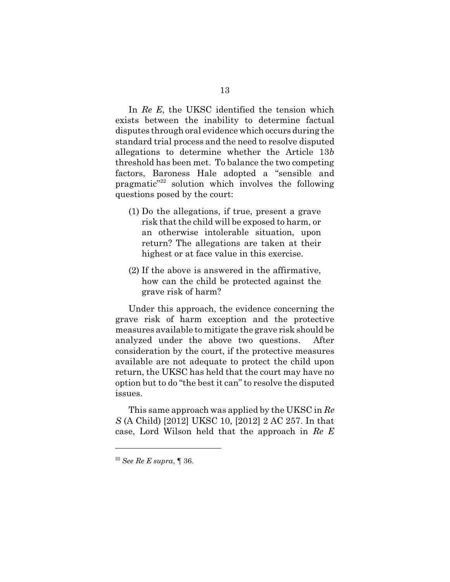In *Re E*, the UKSC identified the tension which exists between the inability to determine factual disputes through oral evidence which occurs during the standard trial process and the need to resolve disputed allegations to determine whether the Article 13*b* threshold has been met. To balance the two competing factors, Baroness Hale adopted a "sensible and pragmatic"<sup>22</sup> solution which involves the following questions posed by the court:

- (1) Do the allegations, if true, present a grave risk that the child will be exposed to harm, or an otherwise intolerable situation, upon return? The allegations are taken at their highest or at face value in this exercise.
- (2) If the above is answered in the affirmative, how can the child be protected against the grave risk of harm?

Under this approach, the evidence concerning the grave risk of harm exception and the protective measures available to mitigate the grave risk should be analyzed under the above two questions. After consideration by the court, if the protective measures available are not adequate to protect the child upon return, the UKSC has held that the court may have no option but to do "the best it can" to resolve the disputed issues.

This same approach was applied by the UKSC in *Re S* (A Child) [2012] UKSC 10, [2012] 2 AC 257. In that case, Lord Wilson held that the approach in *Re E*

<sup>22</sup> *See Re E supra*, ¶ 36.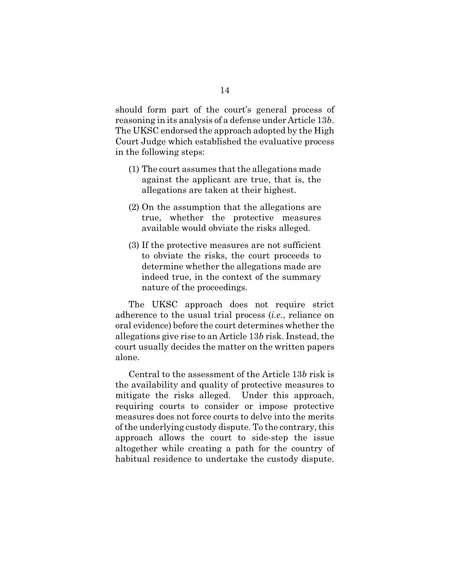should form part of the court's general process of reasoning in its analysis of a defense under Article 13*b*. The UKSC endorsed the approach adopted by the High Court Judge which established the evaluative process in the following steps:

- (1) The court assumes that the allegations made against the applicant are true, that is, the allegations are taken at their highest.
- (2) On the assumption that the allegations are true, whether the protective measures available would obviate the risks alleged.
- (3) If the protective measures are not sufficient to obviate the risks, the court proceeds to determine whether the allegations made are indeed true, in the context of the summary nature of the proceedings.

The UKSC approach does not require strict adherence to the usual trial process (*i.e.*, reliance on oral evidence) before the court determines whether the allegations give rise to an Article 13*b* risk. Instead, the court usually decides the matter on the written papers alone.

Central to the assessment of the Article 13*b* risk is the availability and quality of protective measures to mitigate the risks alleged. Under this approach, requiring courts to consider or impose protective measures does not force courts to delve into the merits of the underlying custody dispute. To the contrary, this approach allows the court to side-step the issue altogether while creating a path for the country of habitual residence to undertake the custody dispute.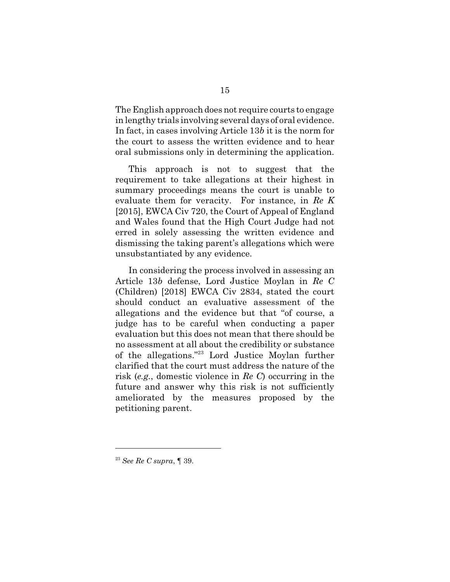The English approach does not require courts to engage in lengthy trials involving several days of oral evidence. In fact, in cases involving Article 13*b* it is the norm for the court to assess the written evidence and to hear oral submissions only in determining the application.

This approach is not to suggest that the requirement to take allegations at their highest in summary proceedings means the court is unable to evaluate them for veracity. For instance, in *Re K* [2015], EWCA Civ 720, the Court of Appeal of England and Wales found that the High Court Judge had not erred in solely assessing the written evidence and dismissing the taking parent's allegations which were unsubstantiated by any evidence.

In considering the process involved in assessing an Article 13*b* defense, Lord Justice Moylan in *Re C* (Children) [2018] EWCA Civ 2834, stated the court should conduct an evaluative assessment of the allegations and the evidence but that "of course, a judge has to be careful when conducting a paper evaluation but this does not mean that there should be no assessment at all about the credibility or substance of the allegations."<sup>23</sup> Lord Justice Moylan further clarified that the court must address the nature of the risk (*e.g.*, domestic violence in *Re C*) occurring in the future and answer why this risk is not sufficiently ameliorated by the measures proposed by the petitioning parent.

<sup>23</sup> *See Re C supra*, ¶ 39.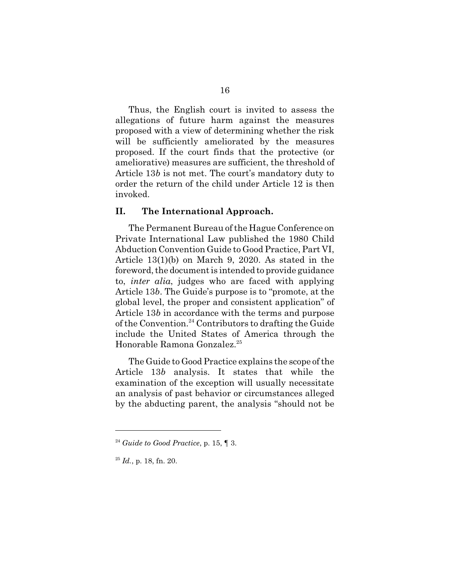Thus, the English court is invited to assess the allegations of future harm against the measures proposed with a view of determining whether the risk will be sufficiently ameliorated by the measures proposed. If the court finds that the protective (or ameliorative) measures are sufficient, the threshold of Article 13*b* is not met. The court's mandatory duty to order the return of the child under Article 12 is then invoked.

#### **II. The International Approach.**

The Permanent Bureau of the Hague Conference on Private International Law published the 1980 Child Abduction Convention Guide to Good Practice, Part VI, Article 13(1)(b) on March 9, 2020. As stated in the foreword, the document is intended to provide guidance to, *inter alia*, judges who are faced with applying Article 13*b*. The Guide's purpose is to "promote, at the global level, the proper and consistent application" of Article 13*b* in accordance with the terms and purpose of the Convention.<sup>24</sup> Contributors to drafting the Guide include the United States of America through the Honorable Ramona Gonzalez.<sup>25</sup>

The Guide to Good Practice explains the scope of the Article 13*b* analysis. It states that while the examination of the exception will usually necessitate an analysis of past behavior or circumstances alleged by the abducting parent, the analysis "should not be

 $24$  *Guide to Good Practice*, p. 15,  $\P$  3.

<sup>25</sup> *Id.*, p. 18, fn. 20.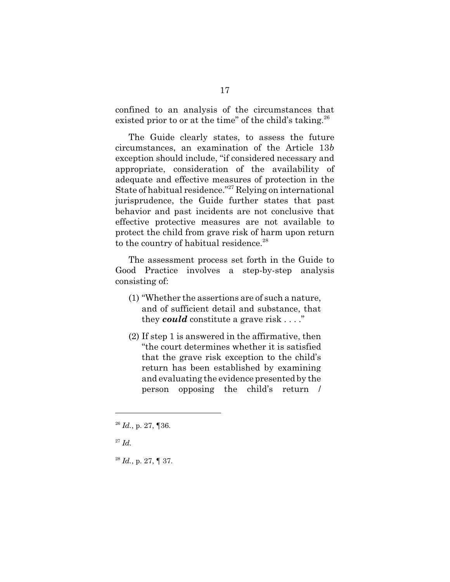confined to an analysis of the circumstances that existed prior to or at the time" of the child's taking.<sup>26</sup>

The Guide clearly states, to assess the future circumstances, an examination of the Article 13*b* exception should include, "if considered necessary and appropriate, consideration of the availability of adequate and effective measures of protection in the State of habitual residence."<sup>27</sup> Relying on international jurisprudence, the Guide further states that past behavior and past incidents are not conclusive that effective protective measures are not available to protect the child from grave risk of harm upon return to the country of habitual residence. $28$ 

The assessment process set forth in the Guide to Good Practice involves a step-by-step analysis consisting of:

- (1) "Whether the assertions are of such a nature, and of sufficient detail and substance, that they *could* constitute a grave risk . . . ."
- (2) If step 1 is answered in the affirmative, then "the court determines whether it is satisfied that the grave risk exception to the child's return has been established by examining and evaluating the evidence presented by the person opposing the child's return /

<sup>28</sup> *Id.*, p. 27, ¶ 37.

<sup>26</sup> *Id.*, p. 27, ¶36.

<sup>27</sup> *Id.*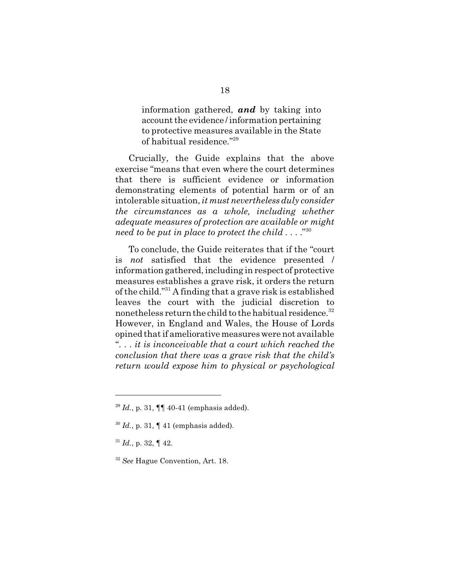information gathered, *and* by taking into account the evidence / information pertaining to protective measures available in the State of habitual residence."<sup>29</sup>

Crucially, the Guide explains that the above exercise "means that even where the court determines that there is sufficient evidence or information demonstrating elements of potential harm or of an intolerable situation, *it must nevertheless duly consider the circumstances as a whole, including whether adequate measures of protection are available or might need to be put in place to protect the child . . . .*" 30

To conclude, the Guide reiterates that if the "court is *not* satisfied that the evidence presented / information gathered, including in respect of protective measures establishes a grave risk, it orders the return of the child."<sup>31</sup> A finding that a grave risk is established leaves the court with the judicial discretion to nonetheless return the child to the habitual residence.<sup>32</sup> However, in England and Wales, the House of Lords opined that if ameliorative measures were not available ". . . *it is inconceivable that a court which reached the conclusion that there was a grave risk that the child's return would expose him to physical or psychological*

 $^{29}$  *Id.*, p. 31,  $\P\P$  40-41 (emphasis added).

<sup>30</sup> *Id.*, p. 31, ¶ 41 (emphasis added).

 $31$  *Id.*, p. 32,  $\P$  42.

<sup>32</sup> *See* Hague Convention, Art. 18.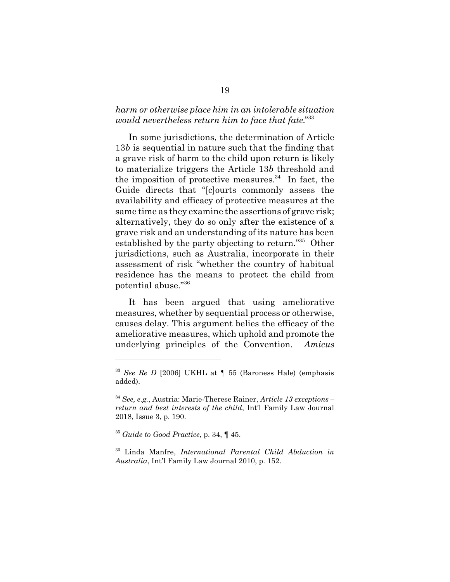## *harm or otherwise place him in an intolerable situation would nevertheless return him to face that fate.*" 33

In some jurisdictions, the determination of Article 13*b* is sequential in nature such that the finding that a grave risk of harm to the child upon return is likely to materialize triggers the Article 13*b* threshold and the imposition of protective measures. $34$  In fact, the Guide directs that "[c]ourts commonly assess the availability and efficacy of protective measures at the same time as they examine the assertions of grave risk; alternatively, they do so only after the existence of a grave risk and an understanding of its nature has been established by the party objecting to return."<sup>35</sup> Other jurisdictions, such as Australia, incorporate in their assessment of risk "whether the country of habitual residence has the means to protect the child from potential abuse."<sup>36</sup>

It has been argued that using ameliorative measures, whether by sequential process or otherwise, causes delay. This argument belies the efficacy of the ameliorative measures, which uphold and promote the underlying principles of the Convention. *Amicus*

<sup>33</sup> *See Re D* [2006] UKHL at ¶ 55 (Baroness Hale) (emphasis added).

<sup>34</sup> *See, e.g.*, Austria: Marie-Therese Rainer, *Article 13 exceptions – return and best interests of the child*, Int'l Family Law Journal 2018, Issue 3, p. 190.

<sup>35</sup> *Guide to Good Practice*, p. 34, ¶ 45.

<sup>36</sup> Linda Manfre, *International Parental Child Abduction in Australia*, Int'l Family Law Journal 2010, p. 152.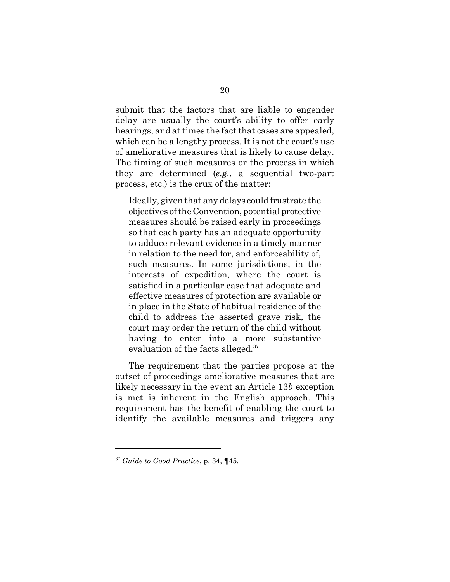submit that the factors that are liable to engender delay are usually the court's ability to offer early hearings, and at times the fact that cases are appealed, which can be a lengthy process. It is not the court's use of ameliorative measures that is likely to cause delay. The timing of such measures or the process in which they are determined (*e.g.*, a sequential two-part process, etc.) is the crux of the matter:

Ideally, given that any delays could frustrate the objectives of the Convention, potential protective measures should be raised early in proceedings so that each party has an adequate opportunity to adduce relevant evidence in a timely manner in relation to the need for, and enforceability of, such measures. In some jurisdictions, in the interests of expedition, where the court is satisfied in a particular case that adequate and effective measures of protection are available or in place in the State of habitual residence of the child to address the asserted grave risk, the court may order the return of the child without having to enter into a more substantive evaluation of the facts alleged.<sup>37</sup>

The requirement that the parties propose at the outset of proceedings ameliorative measures that are likely necessary in the event an Article 13*b* exception is met is inherent in the English approach. This requirement has the benefit of enabling the court to identify the available measures and triggers any

<sup>37</sup> *Guide to Good Practice*, p. 34, ¶45.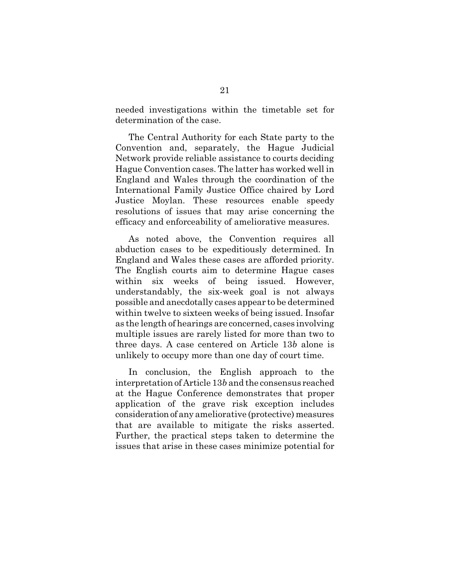needed investigations within the timetable set for determination of the case.

The Central Authority for each State party to the Convention and, separately, the Hague Judicial Network provide reliable assistance to courts deciding Hague Convention cases. The latter has worked well in England and Wales through the coordination of the International Family Justice Office chaired by Lord Justice Moylan. These resources enable speedy resolutions of issues that may arise concerning the efficacy and enforceability of ameliorative measures.

As noted above, the Convention requires all abduction cases to be expeditiously determined. In England and Wales these cases are afforded priority. The English courts aim to determine Hague cases within six weeks of being issued. However, understandably, the six-week goal is not always possible and anecdotally cases appear to be determined within twelve to sixteen weeks of being issued. Insofar as the length of hearings are concerned, cases involving multiple issues are rarely listed for more than two to three days. A case centered on Article 13*b* alone is unlikely to occupy more than one day of court time.

In conclusion, the English approach to the interpretation of Article 13*b* and the consensus reached at the Hague Conference demonstrates that proper application of the grave risk exception includes consideration of any ameliorative (protective) measures that are available to mitigate the risks asserted. Further, the practical steps taken to determine the issues that arise in these cases minimize potential for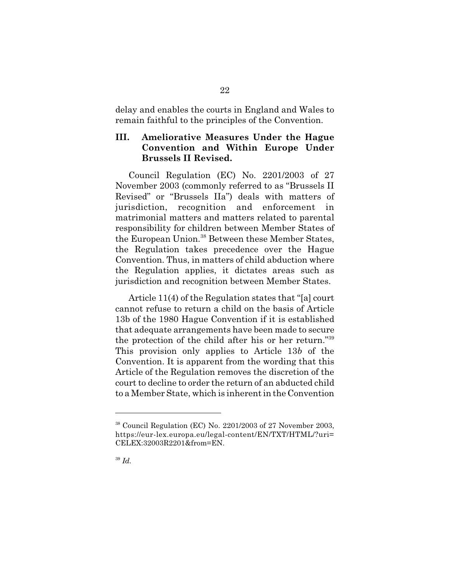delay and enables the courts in England and Wales to remain faithful to the principles of the Convention.

## **III. Ameliorative Measures Under the Hague Convention and Within Europe Under Brussels II Revised.**

Council Regulation (EC) No. 2201/2003 of 27 November 2003 (commonly referred to as "Brussels II Revised" or "Brussels IIa") deals with matters of jurisdiction, recognition and enforcement in matrimonial matters and matters related to parental responsibility for children between Member States of the European Union.<sup>38</sup> Between these Member States, the Regulation takes precedence over the Hague Convention. Thus, in matters of child abduction where the Regulation applies, it dictates areas such as jurisdiction and recognition between Member States.

Article 11(4) of the Regulation states that "[a] court cannot refuse to return a child on the basis of Article 13b of the 1980 Hague Convention if it is established that adequate arrangements have been made to secure the protection of the child after his or her return."<sup>39</sup> This provision only applies to Article 13*b* of the Convention. It is apparent from the wording that this Article of the Regulation removes the discretion of the court to decline to order the return of an abducted child to a Member State, which is inherent in the Convention

 $38$  Council Regulation (EC) No. 2201/2003 of 27 November 2003, https://eur-lex.europa.eu/legal-content/EN/TXT/HTML/?uri= CELEX:32003R2201&from=EN.

<sup>39</sup> *Id.*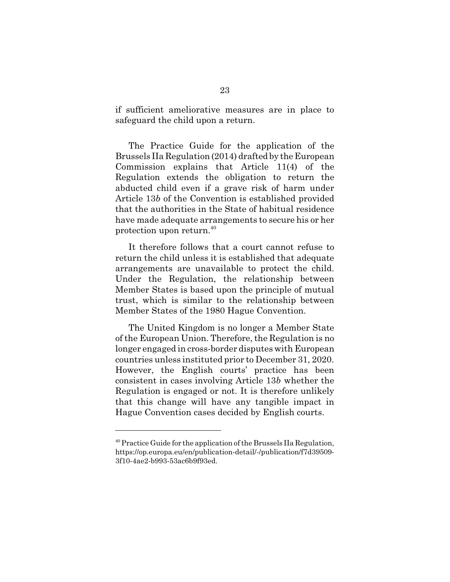if sufficient ameliorative measures are in place to safeguard the child upon a return.

The Practice Guide for the application of the Brussels IIa Regulation (2014) drafted by the European Commission explains that Article 11(4) of the Regulation extends the obligation to return the abducted child even if a grave risk of harm under Article 13*b* of the Convention is established provided that the authorities in the State of habitual residence have made adequate arrangements to secure his or her protection upon return.<sup>40</sup>

It therefore follows that a court cannot refuse to return the child unless it is established that adequate arrangements are unavailable to protect the child. Under the Regulation, the relationship between Member States is based upon the principle of mutual trust, which is similar to the relationship between Member States of the 1980 Hague Convention.

The United Kingdom is no longer a Member State of the European Union. Therefore, the Regulation is no longer engaged in cross-border disputes with European countries unless instituted prior to December 31, 2020. However, the English courts' practice has been consistent in cases involving Article 13*b* whether the Regulation is engaged or not. It is therefore unlikely that this change will have any tangible impact in Hague Convention cases decided by English courts.

 $40$  Practice Guide for the application of the Brussels IIa Regulation, https://op.europa.eu/en/publication-detail/-/publication/f7d39509- 3f10-4ae2-b993-53ac6b9f93ed.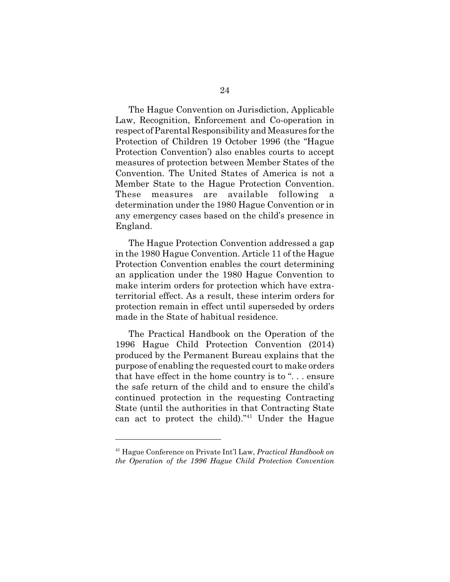The Hague Convention on Jurisdiction, Applicable Law, Recognition, Enforcement and Co-operation in respect of Parental Responsibility and Measures for the Protection of Children 19 October 1996 (the "Hague Protection Convention') also enables courts to accept measures of protection between Member States of the Convention. The United States of America is not a Member State to the Hague Protection Convention. These measures are available following a determination under the 1980 Hague Convention or in any emergency cases based on the child's presence in England.

The Hague Protection Convention addressed a gap in the 1980 Hague Convention. Article 11 of the Hague Protection Convention enables the court determining an application under the 1980 Hague Convention to make interim orders for protection which have extraterritorial effect. As a result, these interim orders for protection remain in effect until superseded by orders made in the State of habitual residence.

The Practical Handbook on the Operation of the 1996 Hague Child Protection Convention (2014) produced by the Permanent Bureau explains that the purpose of enabling the requested court to make orders that have effect in the home country is to ". . . ensure the safe return of the child and to ensure the child's continued protection in the requesting Contracting State (until the authorities in that Contracting State can act to protect the child)."<sup>41</sup> Under the Hague

<sup>41</sup> Hague Conference on Private Int'l Law, *Practical Handbook on the Operation of the 1996 Hague Child Protection Convention*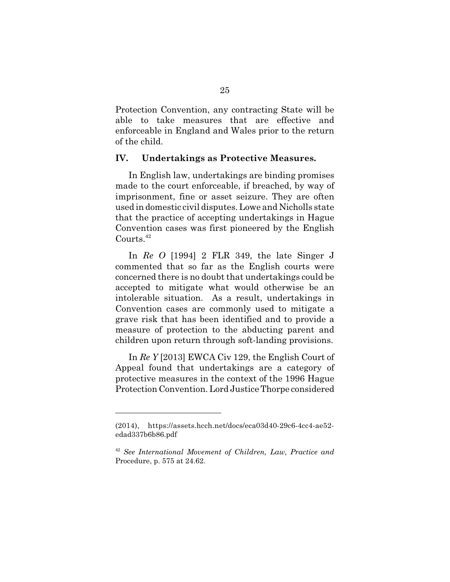Protection Convention, any contracting State will be able to take measures that are effective and enforceable in England and Wales prior to the return of the child.

#### **IV. Undertakings as Protective Measures.**

In English law, undertakings are binding promises made to the court enforceable, if breached, by way of imprisonment, fine or asset seizure. They are often used in domestic civil disputes. Lowe and Nicholls state that the practice of accepting undertakings in Hague Convention cases was first pioneered by the English Courts.<sup>42</sup>

In *Re O* [1994] 2 FLR 349, the late Singer J commented that so far as the English courts were concerned there is no doubt that undertakings could be accepted to mitigate what would otherwise be an intolerable situation. As a result, undertakings in Convention cases are commonly used to mitigate a grave risk that has been identified and to provide a measure of protection to the abducting parent and children upon return through soft-landing provisions.

In *Re Y* [2013] EWCA Civ 129, the English Court of Appeal found that undertakings are a category of protective measures in the context of the 1996 Hague Protection Convention. Lord Justice Thorpe considered

<sup>(2014),</sup> https://assets.hcch.net/docs/eca03d40-29c6-4cc4-ae52 edad337b6b86.pdf

<sup>42</sup> *See International Movement of Children, Law, Practice and* Procedure, p. 575 at 24.62.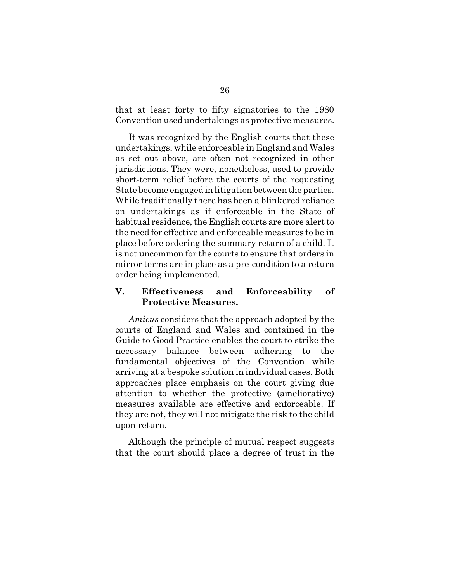that at least forty to fifty signatories to the 1980 Convention used undertakings as protective measures.

It was recognized by the English courts that these undertakings, while enforceable in England and Wales as set out above, are often not recognized in other jurisdictions. They were, nonetheless, used to provide short-term relief before the courts of the requesting State become engaged in litigation between the parties. While traditionally there has been a blinkered reliance on undertakings as if enforceable in the State of habitual residence, the English courts are more alert to the need for effective and enforceable measures to be in place before ordering the summary return of a child. It is not uncommon for the courts to ensure that orders in mirror terms are in place as a pre-condition to a return order being implemented.

### **V. Effectiveness and Enforceability of Protective Measures.**

*Amicus* considers that the approach adopted by the courts of England and Wales and contained in the Guide to Good Practice enables the court to strike the necessary balance between adhering to the fundamental objectives of the Convention while arriving at a bespoke solution in individual cases. Both approaches place emphasis on the court giving due attention to whether the protective (ameliorative) measures available are effective and enforceable. If they are not, they will not mitigate the risk to the child upon return.

Although the principle of mutual respect suggests that the court should place a degree of trust in the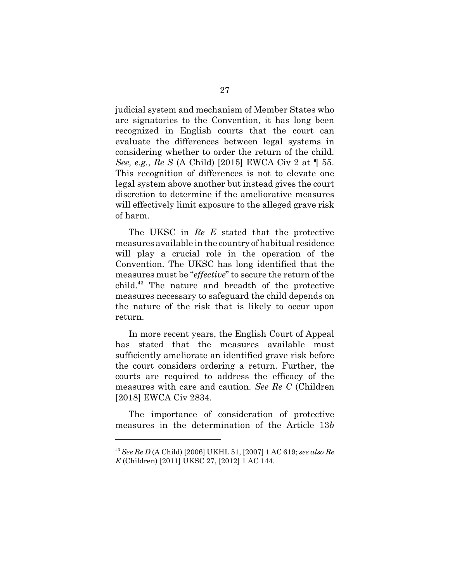judicial system and mechanism of Member States who are signatories to the Convention, it has long been recognized in English courts that the court can evaluate the differences between legal systems in considering whether to order the return of the child. *See, e.g.*, *Re S* (A Child) [2015] EWCA Civ 2 at ¶ 55. This recognition of differences is not to elevate one legal system above another but instead gives the court discretion to determine if the ameliorative measures will effectively limit exposure to the alleged grave risk of harm.

The UKSC in *Re E* stated that the protective measures available in the country of habitual residence will play a crucial role in the operation of the Convention. The UKSC has long identified that the measures must be "*effective*" to secure the return of the child.<sup>43</sup> The nature and breadth of the protective measures necessary to safeguard the child depends on the nature of the risk that is likely to occur upon return.

In more recent years, the English Court of Appeal has stated that the measures available must sufficiently ameliorate an identified grave risk before the court considers ordering a return. Further, the courts are required to address the efficacy of the measures with care and caution. *See Re C* (Children [2018] EWCA Civ 2834.

The importance of consideration of protective measures in the determination of the Article 13*b*

<sup>43</sup> *See Re D* (A Child) [2006] UKHL 51, [2007] 1 AC 619; *see also Re E* (Children) [2011] UKSC 27, [2012] 1 AC 144.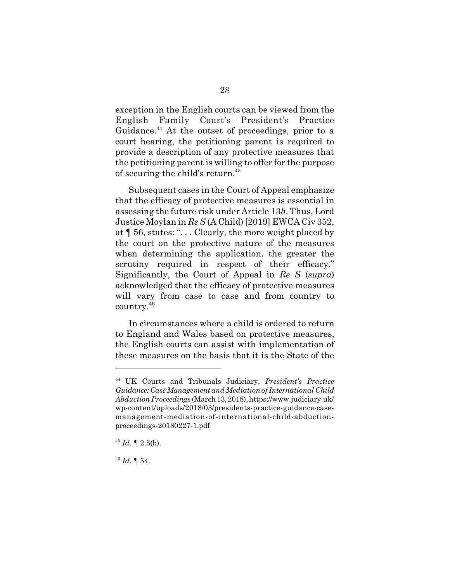exception in the English courts can be viewed from the English Family Court's President's Practice Guidance.<sup>44</sup> At the outset of proceedings, prior to a court hearing, the petitioning parent is required to provide a description of any protective measures that the petitioning parent is willing to offer for the purpose of securing the child's return.<sup>45</sup>

Subsequent cases in the Court of Appeal emphasize that the efficacy of protective measures is essential in assessing the future risk under Article 13*b*. Thus, Lord Justice Moylan in *Re S* (A Child) [2019] EWCA Civ 352, at ¶ 56, states: ". . . Clearly, the more weight placed by the court on the protective nature of the measures when determining the application, the greater the scrutiny required in respect of their efficacy." Significantly, the Court of Appeal in *Re S* (*supra*) acknowledged that the efficacy of protective measures will vary from case to case and from country to country.<sup>46</sup>

In circumstances where a child is ordered to return to England and Wales based on protective measures, the English courts can assist with implementation of these measures on the basis that it is the State of the

<sup>44</sup> UK Courts and Tribunals Judiciary, *President's Practice Guidance: Case Management and Mediation of International Child Abduction Proceedings* (March 13, 2018), https://www.judiciary.uk/ wp-content/uploads/2018/03/presidents-practice-guidance-casemanagement-mediation-of-international-child-abductionproceedings-20180227-1.pdf

 $45$  *Id.*  $\llbracket 2.5(b)$ .

<sup>46</sup> *Id.* ¶ 54.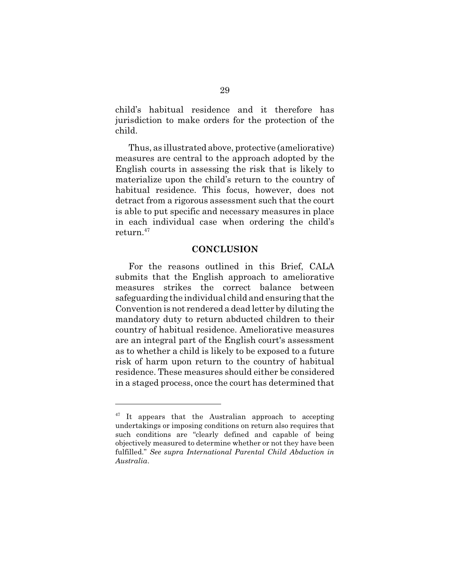child's habitual residence and it therefore has jurisdiction to make orders for the protection of the child.

Thus, as illustrated above, protective (ameliorative) measures are central to the approach adopted by the English courts in assessing the risk that is likely to materialize upon the child's return to the country of habitual residence. This focus, however, does not detract from a rigorous assessment such that the court is able to put specific and necessary measures in place in each individual case when ordering the child's return.<sup>47</sup>

#### **CONCLUSION**

For the reasons outlined in this Brief, CALA submits that the English approach to ameliorative measures strikes the correct balance between safeguarding the individual child and ensuring that the Convention is not rendered a dead letter by diluting the mandatory duty to return abducted children to their country of habitual residence. Ameliorative measures are an integral part of the English court's assessment as to whether a child is likely to be exposed to a future risk of harm upon return to the country of habitual residence. These measures should either be considered in a staged process, once the court has determined that

<sup>&</sup>lt;sup>47</sup> It appears that the Australian approach to accepting undertakings or imposing conditions on return also requires that such conditions are "clearly defined and capable of being objectively measured to determine whether or not they have been fulfilled." *See supra International Parental Child Abduction in Australia*.